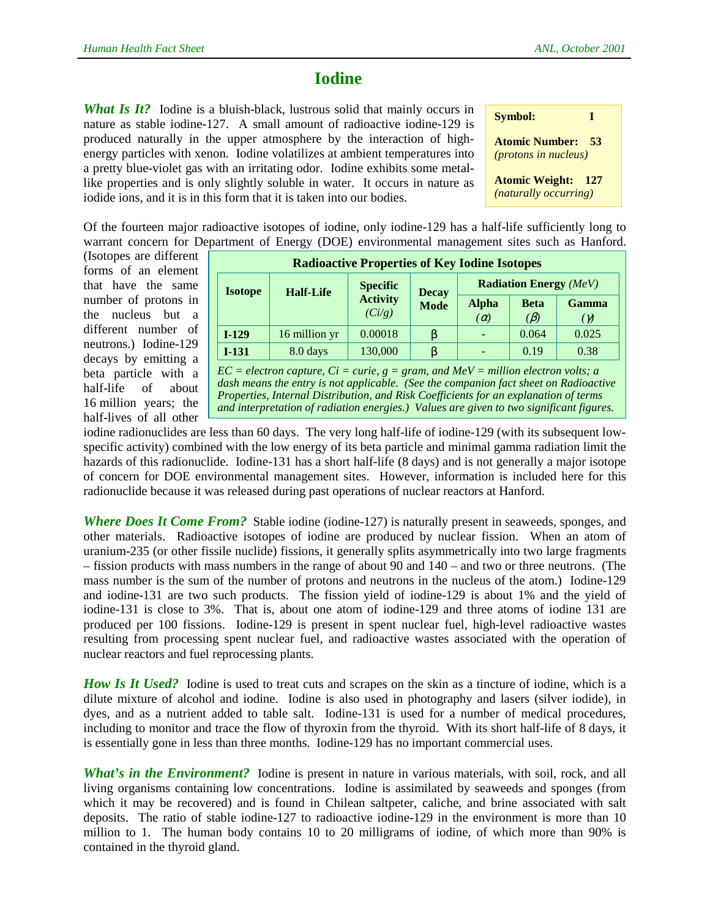## **Iodine**

*What Is It?* Iodine is a bluish-black, lustrous solid that mainly occurs in nature as stable iodine-127. A small amount of radioactive iodine-129 is produced naturally in the upper atmosphere by the interaction of highenergy particles with xenon. Iodine volatilizes at ambient temperatures into a pretty blue-violet gas with an irritating odor. Iodine exhibits some metallike properties and is only slightly soluble in water. It occurs in nature as iodide ions, and it is in this form that it is taken into our bodies.

| <b>Symbol:</b><br>п                                        |  |
|------------------------------------------------------------|--|
| <b>Atomic Number:</b><br>53<br><i>(protons in nucleus)</i> |  |
| <b>Atomic Weight:</b><br>- 127<br>(naturally occurring)    |  |

Of the fourteen major radioactive isotopes of iodine, only iodine-129 has a half-life sufficiently long to warrant concern for Department of Energy (DOE) environmental management sites such as Hanford.

(Isotopes are different forms of an element that have the same number of protons in the nucleus but a different number of neutrons.) Iodine-129 decays by emitting a beta particle with a half-life of about 16 million years; the half-lives of all other

| <b>Radioactive Properties of Key Iodine Isotopes</b> |                  |                                              |                             |                               |                          |                            |  |  |
|------------------------------------------------------|------------------|----------------------------------------------|-----------------------------|-------------------------------|--------------------------|----------------------------|--|--|
| <b>Isotope</b>                                       | <b>Half-Life</b> | <b>Specific</b><br><b>Activity</b><br>(Ci/g) | <b>Decay</b><br><b>Mode</b> | <b>Radiation Energy</b> (MeV) |                          |                            |  |  |
|                                                      |                  |                                              |                             | <b>Alpha</b><br>$(\alpha)$    | <b>Beta</b><br>$(\beta)$ | <b>Gamma</b><br>$(\gamma)$ |  |  |
| $I-129$                                              | 16 million yr    | 0.00018                                      | β                           |                               | 0.064                    | 0.025                      |  |  |
| $I-131$                                              | 8.0 days         | 130,000                                      |                             |                               | 0.19                     | 0.38                       |  |  |

 $\overline{EC}$  = electron capture,  $\overline{Ci}$  = curie,  $g = \overline{gram}$ , and  $\overline{MeV}$  = million electron volts; a *dash means the entry is not applicable. (See the companion fact sheet on Radioactive Properties, Internal Distribution, and Risk Coefficients for an explanation of terms and interpretation of radiation energies.) Values are given to two significant figures.*

iodine radionuclides are less than 60 days. The very long half-life of iodine-129 (with its subsequent lowspecific activity) combined with the low energy of its beta particle and minimal gamma radiation limit the hazards of this radionuclide. Iodine-131 has a short half-life (8 days) and is not generally a major isotope of concern for DOE environmental management sites. However, information is included here for this radionuclide because it was released during past operations of nuclear reactors at Hanford.

*Where Does It Come From?* Stable iodine (iodine-127) is naturally present in seaweeds, sponges, and other materials. Radioactive isotopes of iodine are produced by nuclear fission. When an atom of uranium-235 (or other fissile nuclide) fissions, it generally splits asymmetrically into two large fragments – fission products with mass numbers in the range of about 90 and 140 – and two or three neutrons. (The mass number is the sum of the number of protons and neutrons in the nucleus of the atom.) Iodine-129 and iodine-131 are two such products. The fission yield of iodine-129 is about 1% and the yield of iodine-131 is close to 3%. That is, about one atom of iodine-129 and three atoms of iodine 131 are produced per 100 fissions. Iodine-129 is present in spent nuclear fuel, high-level radioactive wastes resulting from processing spent nuclear fuel, and radioactive wastes associated with the operation of nuclear reactors and fuel reprocessing plants.

*How Is It Used?* Iodine is used to treat cuts and scrapes on the skin as a tincture of iodine, which is a dilute mixture of alcohol and iodine. Iodine is also used in photography and lasers (silver iodide), in dyes, and as a nutrient added to table salt. Iodine-131 is used for a number of medical procedures, including to monitor and trace the flow of thyroxin from the thyroid. With its short half-life of 8 days, it is essentially gone in less than three months. Iodine-129 has no important commercial uses.

*What's in the Environment?* Iodine is present in nature in various materials, with soil, rock, and all living organisms containing low concentrations. Iodine is assimilated by seaweeds and sponges (from which it may be recovered) and is found in Chilean saltpeter, caliche, and brine associated with salt deposits. The ratio of stable iodine-127 to radioactive iodine-129 in the environment is more than 10 million to 1. The human body contains 10 to 20 milligrams of iodine, of which more than 90% is contained in the thyroid gland.